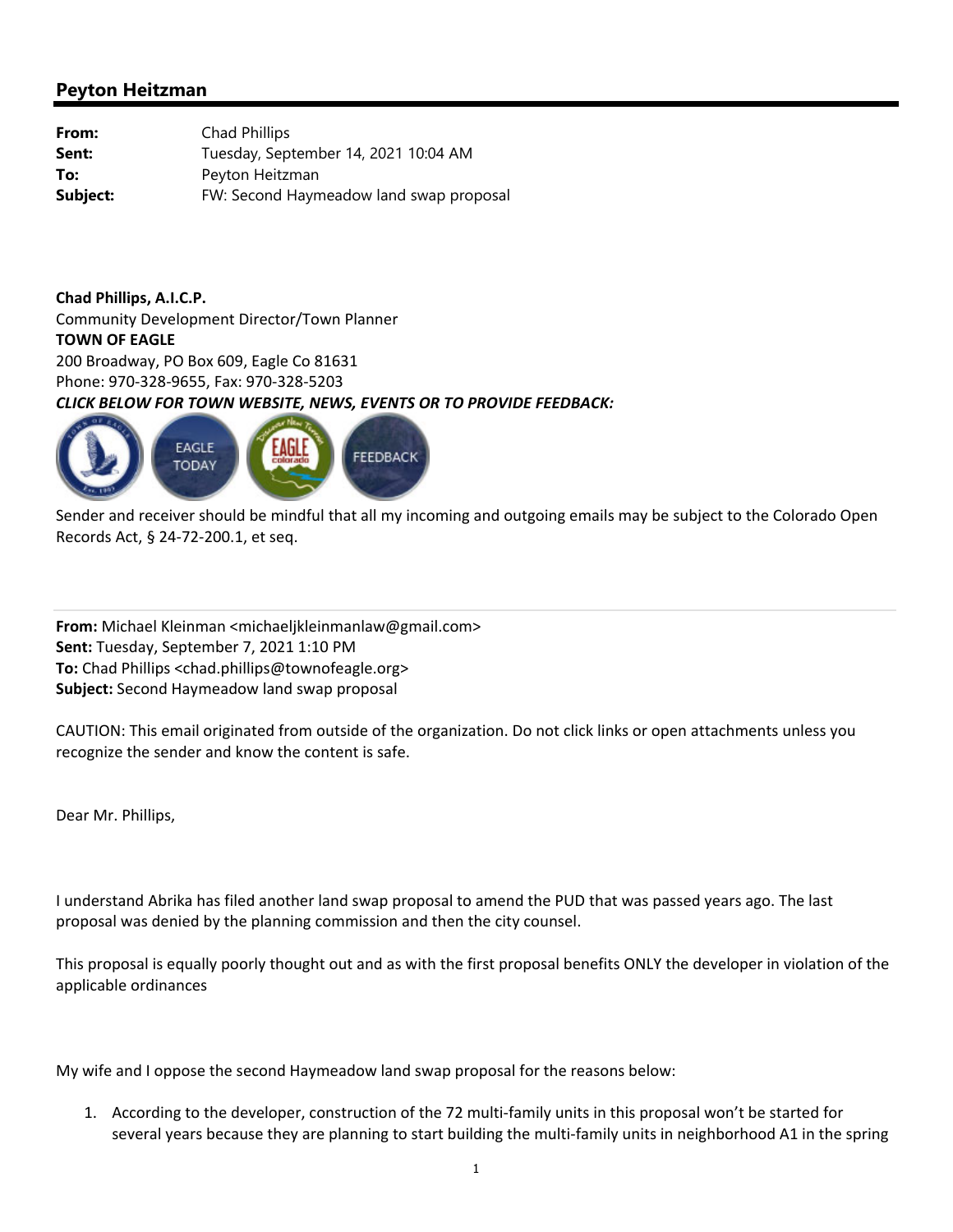| From:    | Chad Phillips                           |
|----------|-----------------------------------------|
| Sent:    | Tuesday, September 14, 2021 10:04 AM    |
| To:      | Peyton Heitzman                         |
| Subject: | FW: Second Haymeadow land swap proposal |

**Chad Phillips, A.I.C.P.** Community Development Director/Town Planner **TOWN OF EAGLE** 200 Broadway, PO Box 609, Eagle Co 81631 Phone: 970‐328‐9655, Fax: 970‐328‐5203 *CLICK BELOW FOR TOWN WEBSITE, NEWS, EVENTS OR TO PROVIDE FEEDBACK:*



Sender and receiver should be mindful that all my incoming and outgoing emails may be subject to the Colorado Open Records Act, § 24‐72‐200.1, et seq.

**From:** Michael Kleinman <michaeljkleinmanlaw@gmail.com> **Sent:** Tuesday, September 7, 2021 1:10 PM **To:** Chad Phillips <chad.phillips@townofeagle.org> **Subject:** Second Haymeadow land swap proposal

CAUTION: This email originated from outside of the organization. Do not click links or open attachments unless you recognize the sender and know the content is safe.

Dear Mr. Phillips,

I understand Abrika has filed another land swap proposal to amend the PUD that was passed years ago. The last proposal was denied by the planning commission and then the city counsel.

This proposal is equally poorly thought out and as with the first proposal benefits ONLY the developer in violation of the applicable ordinances

My wife and I oppose the second Haymeadow land swap proposal for the reasons below:

1. According to the developer, construction of the 72 multi-family units in this proposal won't be started for several years because they are planning to start building the multi-family units in neighborhood A1 in the spring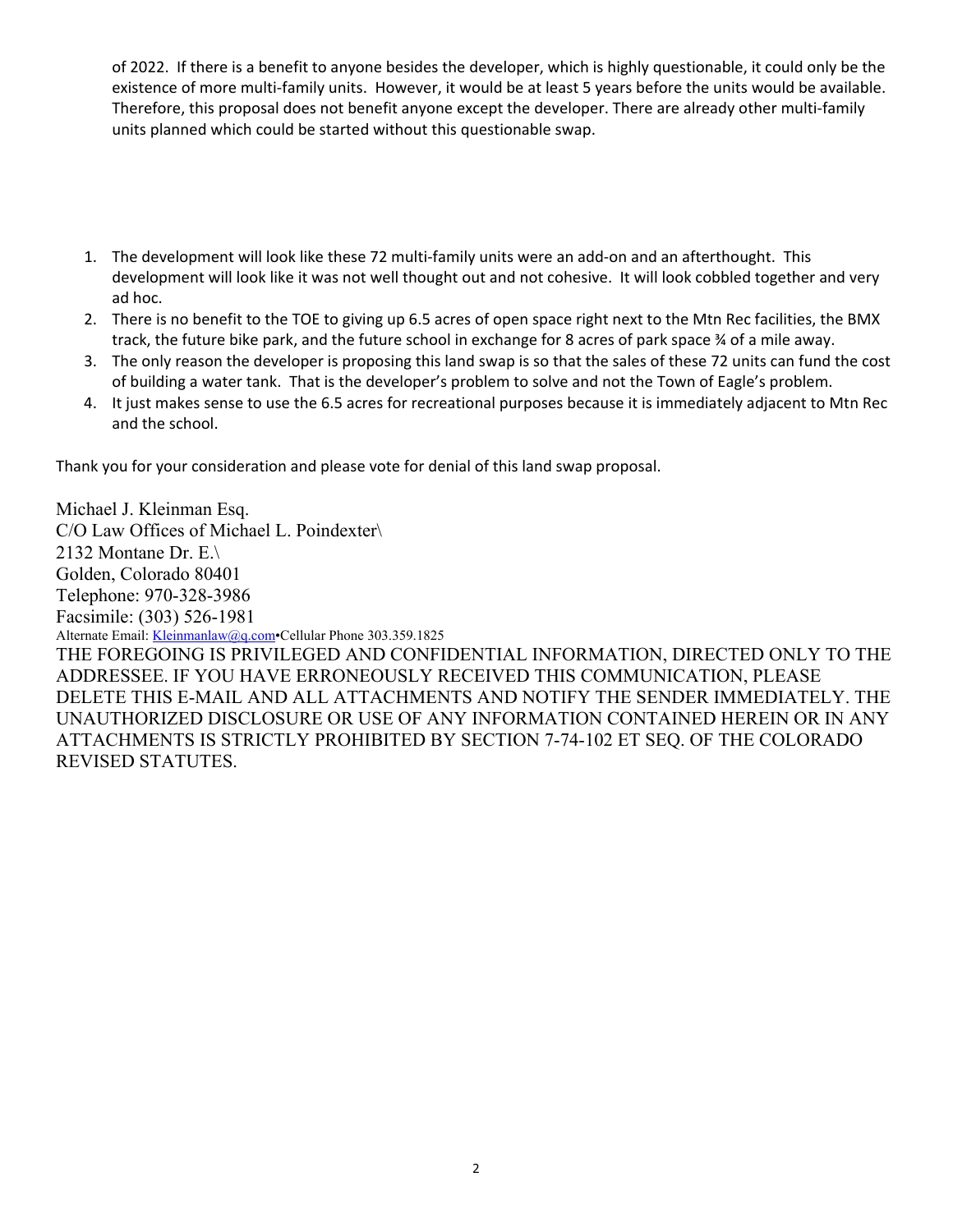of 2022. If there is a benefit to anyone besides the developer, which is highly questionable, it could only be the existence of more multi‐family units. However, it would be at least 5 years before the units would be available. Therefore, this proposal does not benefit anyone except the developer. There are already other multi‐family units planned which could be started without this questionable swap.

- 1. The development will look like these 72 multi-family units were an add-on and an afterthought. This development will look like it was not well thought out and not cohesive. It will look cobbled together and very ad hoc.
- 2. There is no benefit to the TOE to giving up 6.5 acres of open space right next to the Mtn Rec facilities, the BMX track, the future bike park, and the future school in exchange for 8 acres of park space ¾ of a mile away.
- 3. The only reason the developer is proposing this land swap is so that the sales of these 72 units can fund the cost of building a water tank. That is the developer's problem to solve and not the Town of Eagle's problem.
- 4. It just makes sense to use the 6.5 acres for recreational purposes because it is immediately adjacent to Mtn Rec and the school.

Thank you for your consideration and please vote for denial of this land swap proposal.

Michael J. Kleinman Esq. C/O Law Offices of Michael L. Poindexter\ 2132 Montane Dr. E.\ Golden, Colorado 80401 Telephone: 970-328-3986 Facsimile: (303) 526-1981 Alternate Email: Kleinmanlaw@q.com•Cellular Phone 303.359.1825 THE FOREGOING IS PRIVILEGED AND CONFIDENTIAL INFORMATION, DIRECTED ONLY TO THE ADDRESSEE. IF YOU HAVE ERRONEOUSLY RECEIVED THIS COMMUNICATION, PLEASE DELETE THIS E-MAIL AND ALL ATTACHMENTS AND NOTIFY THE SENDER IMMEDIATELY. THE UNAUTHORIZED DISCLOSURE OR USE OF ANY INFORMATION CONTAINED HEREIN OR IN ANY ATTACHMENTS IS STRICTLY PROHIBITED BY SECTION 7-74-102 ET SEQ. OF THE COLORADO REVISED STATUTES.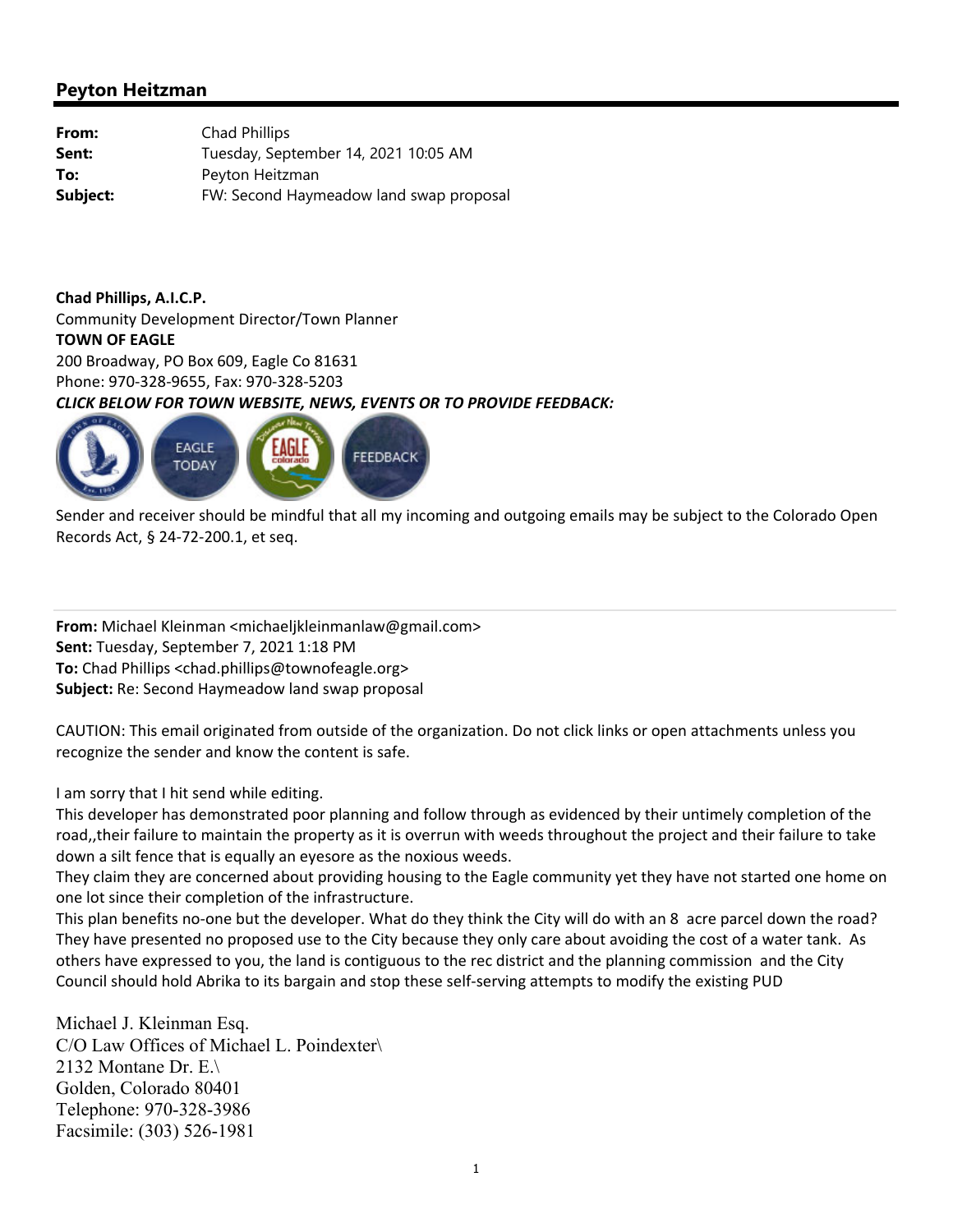| From:    | Chad Phillips                           |
|----------|-----------------------------------------|
| Sent:    | Tuesday, September 14, 2021 10:05 AM    |
| To:      | Peyton Heitzman                         |
| Subject: | FW: Second Haymeadow land swap proposal |

**Chad Phillips, A.I.C.P.** Community Development Director/Town Planner **TOWN OF EAGLE** 200 Broadway, PO Box 609, Eagle Co 81631 Phone: 970‐328‐9655, Fax: 970‐328‐5203 *CLICK BELOW FOR TOWN WEBSITE, NEWS, EVENTS OR TO PROVIDE FEEDBACK:*



Sender and receiver should be mindful that all my incoming and outgoing emails may be subject to the Colorado Open Records Act, § 24‐72‐200.1, et seq.

**From:** Michael Kleinman <michaeljkleinmanlaw@gmail.com> **Sent:** Tuesday, September 7, 2021 1:18 PM **To:** Chad Phillips <chad.phillips@townofeagle.org> **Subject:** Re: Second Haymeadow land swap proposal

CAUTION: This email originated from outside of the organization. Do not click links or open attachments unless you recognize the sender and know the content is safe.

I am sorry that I hit send while editing.

This developer has demonstrated poor planning and follow through as evidenced by their untimely completion of the road,,their failure to maintain the property as it is overrun with weeds throughout the project and their failure to take down a silt fence that is equally an eyesore as the noxious weeds.

They claim they are concerned about providing housing to the Eagle community yet they have not started one home on one lot since their completion of the infrastructure.

This plan benefits no-one but the developer. What do they think the City will do with an 8 acre parcel down the road? They have presented no proposed use to the City because they only care about avoiding the cost of a water tank. As others have expressed to you, the land is contiguous to the rec district and the planning commission and the City Council should hold Abrika to its bargain and stop these self‐serving attempts to modify the existing PUD

Michael J. Kleinman Esq. C/O Law Offices of Michael L. Poindexter\ 2132 Montane Dr. E.\ Golden, Colorado 80401 Telephone: 970-328-3986 Facsimile: (303) 526-1981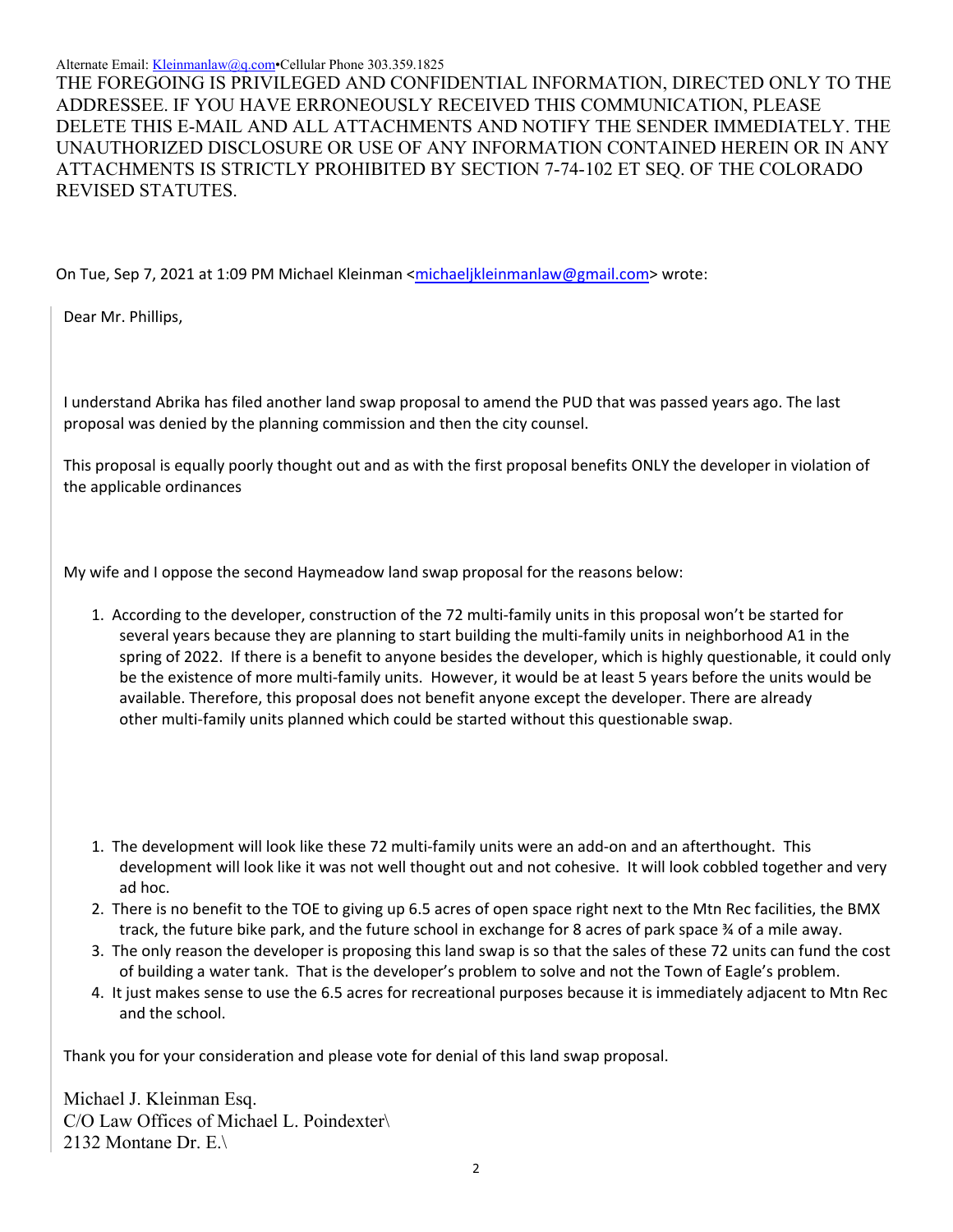#### Alternate Email: Kleinmanlaw@q.com Cellular Phone 303.359.1825

THE FOREGOING IS PRIVILEGED AND CONFIDENTIAL INFORMATION, DIRECTED ONLY TO THE ADDRESSEE. IF YOU HAVE ERRONEOUSLY RECEIVED THIS COMMUNICATION, PLEASE DELETE THIS E-MAIL AND ALL ATTACHMENTS AND NOTIFY THE SENDER IMMEDIATELY. THE UNAUTHORIZED DISCLOSURE OR USE OF ANY INFORMATION CONTAINED HEREIN OR IN ANY ATTACHMENTS IS STRICTLY PROHIBITED BY SECTION 7-74-102 ET SEQ. OF THE COLORADO REVISED STATUTES.

On Tue, Sep 7, 2021 at 1:09 PM Michael Kleinman <michaeljkleinmanlaw@gmail.com> wrote:

Dear Mr. Phillips,

I understand Abrika has filed another land swap proposal to amend the PUD that was passed years ago. The last proposal was denied by the planning commission and then the city counsel.

This proposal is equally poorly thought out and as with the first proposal benefits ONLY the developer in violation of the applicable ordinances

My wife and I oppose the second Haymeadow land swap proposal for the reasons below:

- 1. According to the developer, construction of the 72 multi‐family units in this proposal won't be started for several years because they are planning to start building the multi-family units in neighborhood A1 in the spring of 2022. If there is a benefit to anyone besides the developer, which is highly questionable, it could only be the existence of more multi‐family units. However, it would be at least 5 years before the units would be available. Therefore, this proposal does not benefit anyone except the developer. There are already other multi‐family units planned which could be started without this questionable swap.
- 1. The development will look like these 72 multi-family units were an add-on and an afterthought. This development will look like it was not well thought out and not cohesive. It will look cobbled together and very ad hoc.
- 2. There is no benefit to the TOE to giving up 6.5 acres of open space right next to the Mtn Rec facilities, the BMX track, the future bike park, and the future school in exchange for 8 acres of park space ¾ of a mile away.
- 3. The only reason the developer is proposing this land swap is so that the sales of these 72 units can fund the cost of building a water tank. That is the developer's problem to solve and not the Town of Eagle's problem.
- 4. It just makes sense to use the 6.5 acres for recreational purposes because it is immediately adjacent to Mtn Rec and the school.

Thank you for your consideration and please vote for denial of this land swap proposal.

Michael J. Kleinman Esq. C/O Law Offices of Michael L. Poindexter\ 2132 Montane Dr. E.\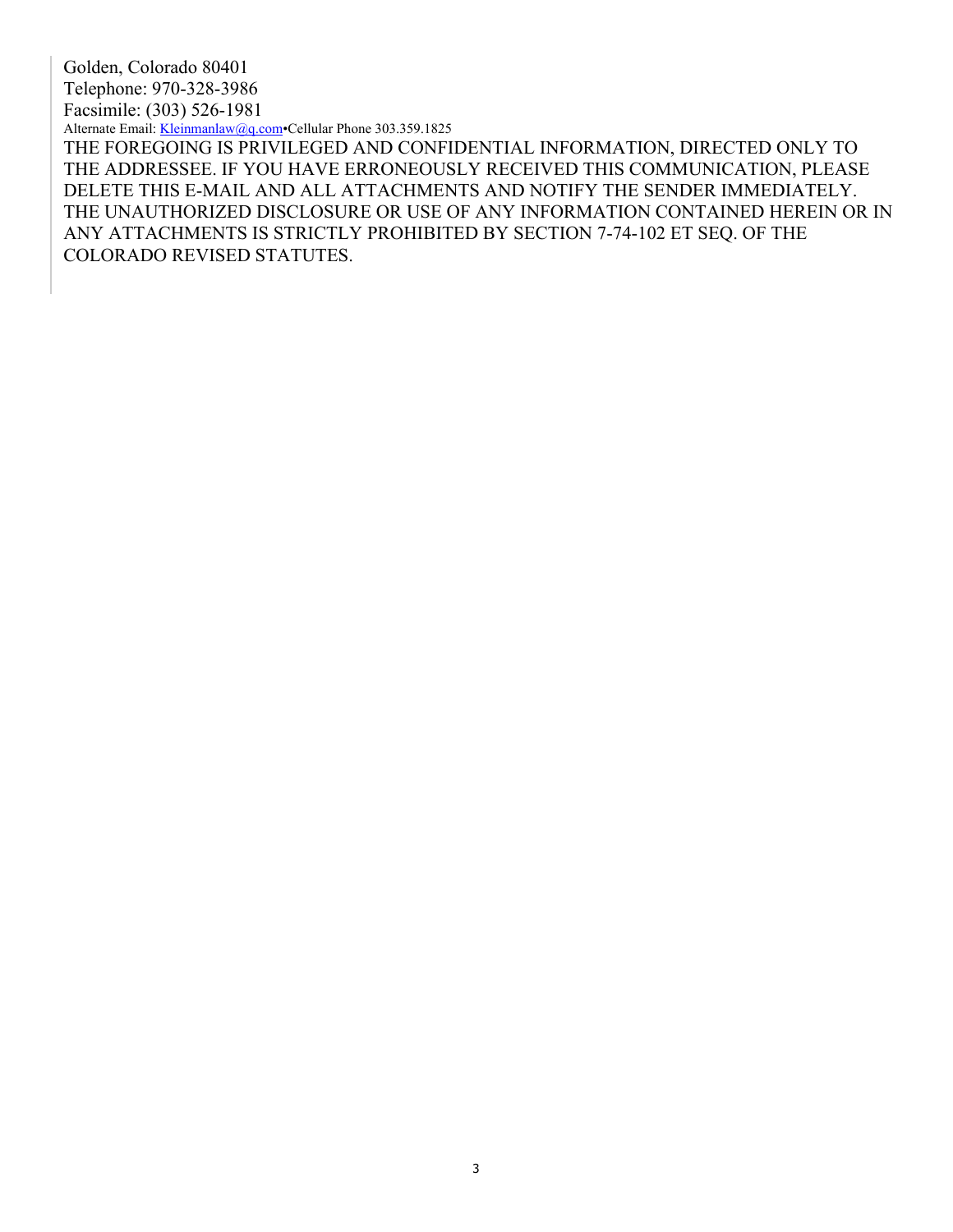Golden, Colorado 80401 Telephone: 970-328-3986 Facsimile: (303) 526-1981 Alternate Email: Kleinmanlaw@q.com Cellular Phone 303.359.1825 THE FOREGOING IS PRIVILEGED AND CONFIDENTIAL INFORMATION, DIRECTED ONLY TO THE ADDRESSEE. IF YOU HAVE ERRONEOUSLY RECEIVED THIS COMMUNICATION, PLEASE DELETE THIS E-MAIL AND ALL ATTACHMENTS AND NOTIFY THE SENDER IMMEDIATELY. THE UNAUTHORIZED DISCLOSURE OR USE OF ANY INFORMATION CONTAINED HEREIN OR IN ANY ATTACHMENTS IS STRICTLY PROHIBITED BY SECTION 7-74-102 ET SEQ. OF THE COLORADO REVISED STATUTES.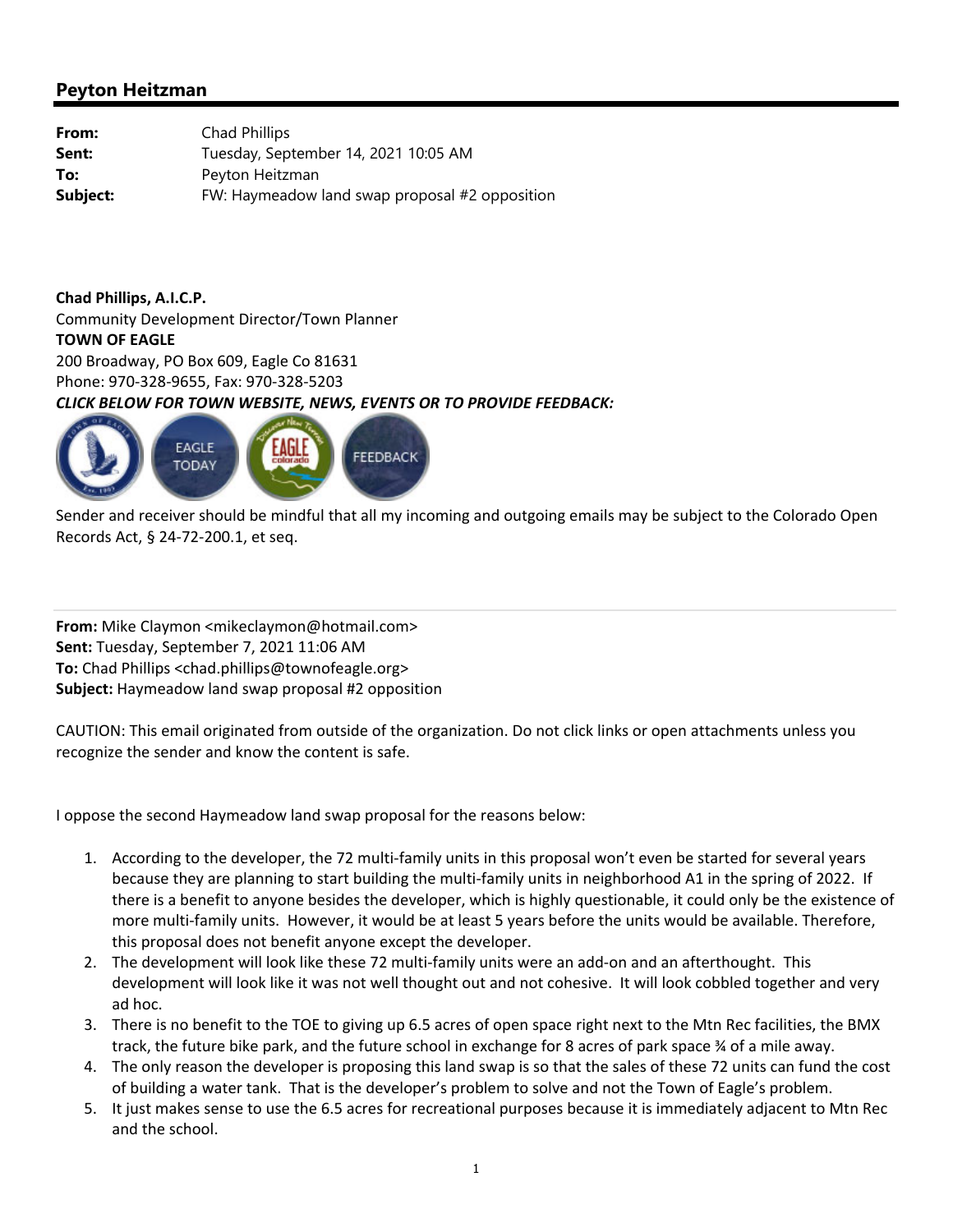| From:    | Chad Phillips                                  |
|----------|------------------------------------------------|
| Sent:    | Tuesday, September 14, 2021 10:05 AM           |
| To:      | Peyton Heitzman                                |
| Subject: | FW: Haymeadow land swap proposal #2 opposition |

**Chad Phillips, A.I.C.P.** Community Development Director/Town Planner **TOWN OF EAGLE** 200 Broadway, PO Box 609, Eagle Co 81631 Phone: 970‐328‐9655, Fax: 970‐328‐5203 *CLICK BELOW FOR TOWN WEBSITE, NEWS, EVENTS OR TO PROVIDE FEEDBACK:*



Sender and receiver should be mindful that all my incoming and outgoing emails may be subject to the Colorado Open Records Act, § 24‐72‐200.1, et seq.

**From:** Mike Claymon <mikeclaymon@hotmail.com> **Sent:** Tuesday, September 7, 2021 11:06 AM **To:** Chad Phillips <chad.phillips@townofeagle.org> **Subject:** Haymeadow land swap proposal #2 opposition

CAUTION: This email originated from outside of the organization. Do not click links or open attachments unless you recognize the sender and know the content is safe.

I oppose the second Haymeadow land swap proposal for the reasons below:

- 1. According to the developer, the 72 multi‐family units in this proposal won't even be started for several years because they are planning to start building the multi‐family units in neighborhood A1 in the spring of 2022. If there is a benefit to anyone besides the developer, which is highly questionable, it could only be the existence of more multi-family units. However, it would be at least 5 years before the units would be available. Therefore, this proposal does not benefit anyone except the developer.
- 2. The development will look like these 72 multi-family units were an add-on and an afterthought. This development will look like it was not well thought out and not cohesive. It will look cobbled together and very ad hoc.
- 3. There is no benefit to the TOE to giving up 6.5 acres of open space right next to the Mtn Rec facilities, the BMX track, the future bike park, and the future school in exchange for 8 acres of park space ¾ of a mile away.
- 4. The only reason the developer is proposing this land swap is so that the sales of these 72 units can fund the cost of building a water tank. That is the developer's problem to solve and not the Town of Eagle's problem.
- 5. It just makes sense to use the 6.5 acres for recreational purposes because it is immediately adjacent to Mtn Rec and the school.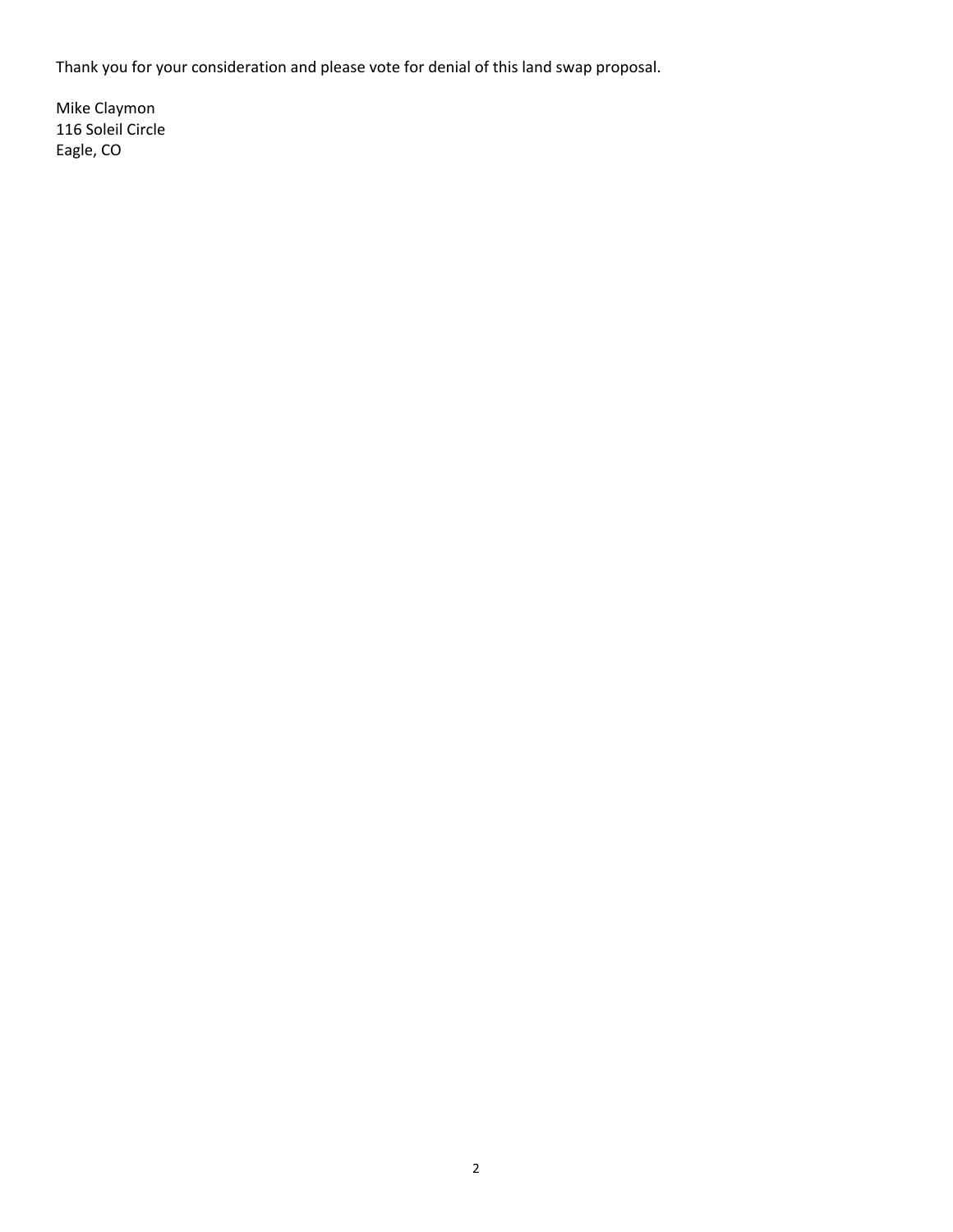Thank you for your consideration and please vote for denial of this land swap proposal.

Mike Claymon 116 Soleil Circle Eagle, CO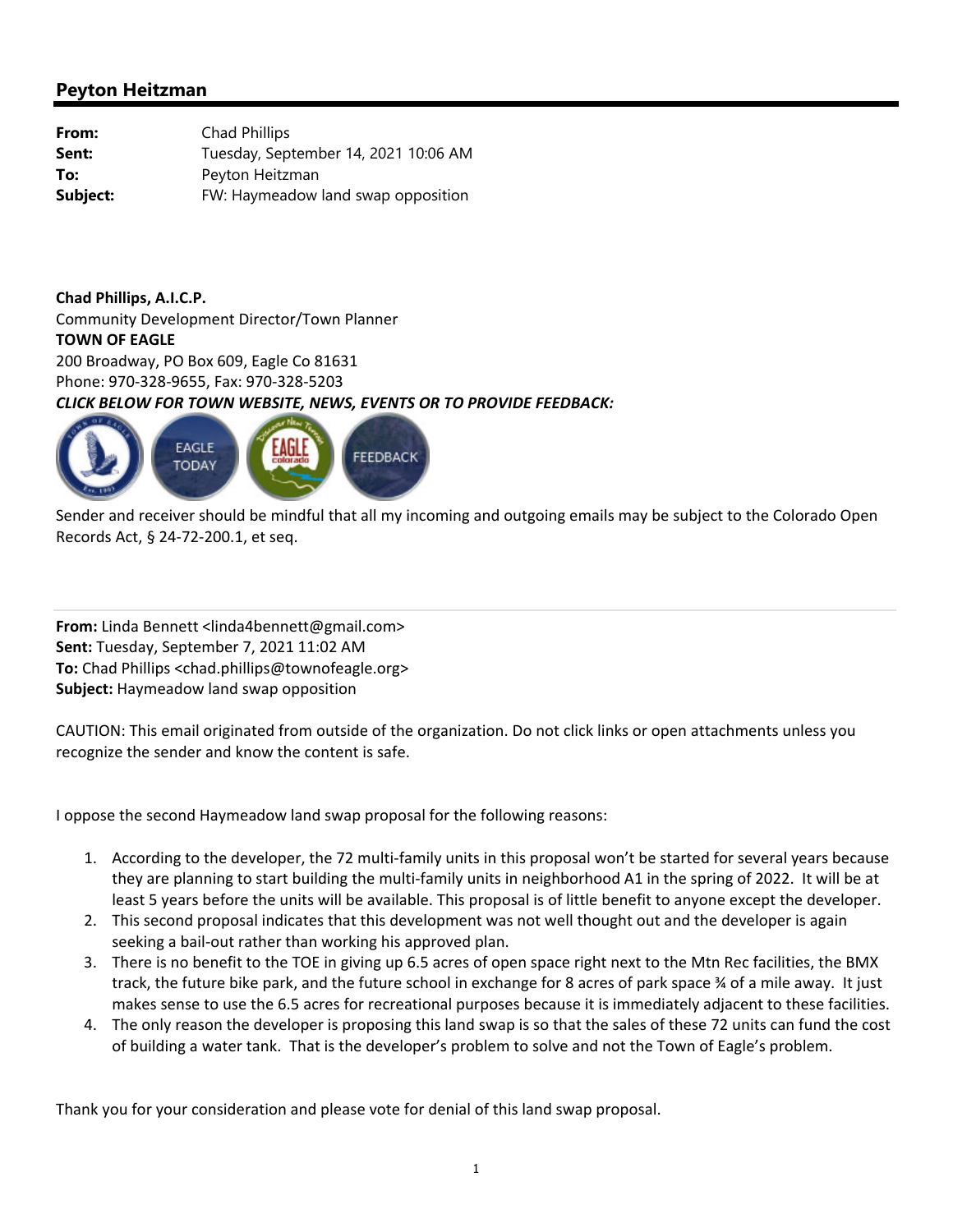| From:    | Chad Phillips                        |
|----------|--------------------------------------|
| Sent:    | Tuesday, September 14, 2021 10:06 AM |
| To:      | Peyton Heitzman                      |
| Subject: | FW: Haymeadow land swap opposition   |

**Chad Phillips, A.I.C.P.** Community Development Director/Town Planner **TOWN OF EAGLE** 200 Broadway, PO Box 609, Eagle Co 81631 Phone: 970‐328‐9655, Fax: 970‐328‐5203 *CLICK BELOW FOR TOWN WEBSITE, NEWS, EVENTS OR TO PROVIDE FEEDBACK:*



Sender and receiver should be mindful that all my incoming and outgoing emails may be subject to the Colorado Open Records Act, § 24‐72‐200.1, et seq.

**From:** Linda Bennett <linda4bennett@gmail.com> **Sent:** Tuesday, September 7, 2021 11:02 AM **To:** Chad Phillips <chad.phillips@townofeagle.org> **Subject:** Haymeadow land swap opposition

CAUTION: This email originated from outside of the organization. Do not click links or open attachments unless you recognize the sender and know the content is safe.

I oppose the second Haymeadow land swap proposal for the following reasons:

- 1. According to the developer, the 72 multi‐family units in this proposal won't be started for several years because they are planning to start building the multi-family units in neighborhood A1 in the spring of 2022. It will be at least 5 years before the units will be available. This proposal is of little benefit to anyone except the developer.
- 2. This second proposal indicates that this development was not well thought out and the developer is again seeking a bail‐out rather than working his approved plan.
- 3. There is no benefit to the TOE in giving up 6.5 acres of open space right next to the Mtn Rec facilities, the BMX track, the future bike park, and the future school in exchange for 8 acres of park space ¾ of a mile away. It just makes sense to use the 6.5 acres for recreational purposes because it is immediately adjacent to these facilities.
- 4. The only reason the developer is proposing this land swap is so that the sales of these 72 units can fund the cost of building a water tank. That is the developer's problem to solve and not the Town of Eagle's problem.

Thank you for your consideration and please vote for denial of this land swap proposal.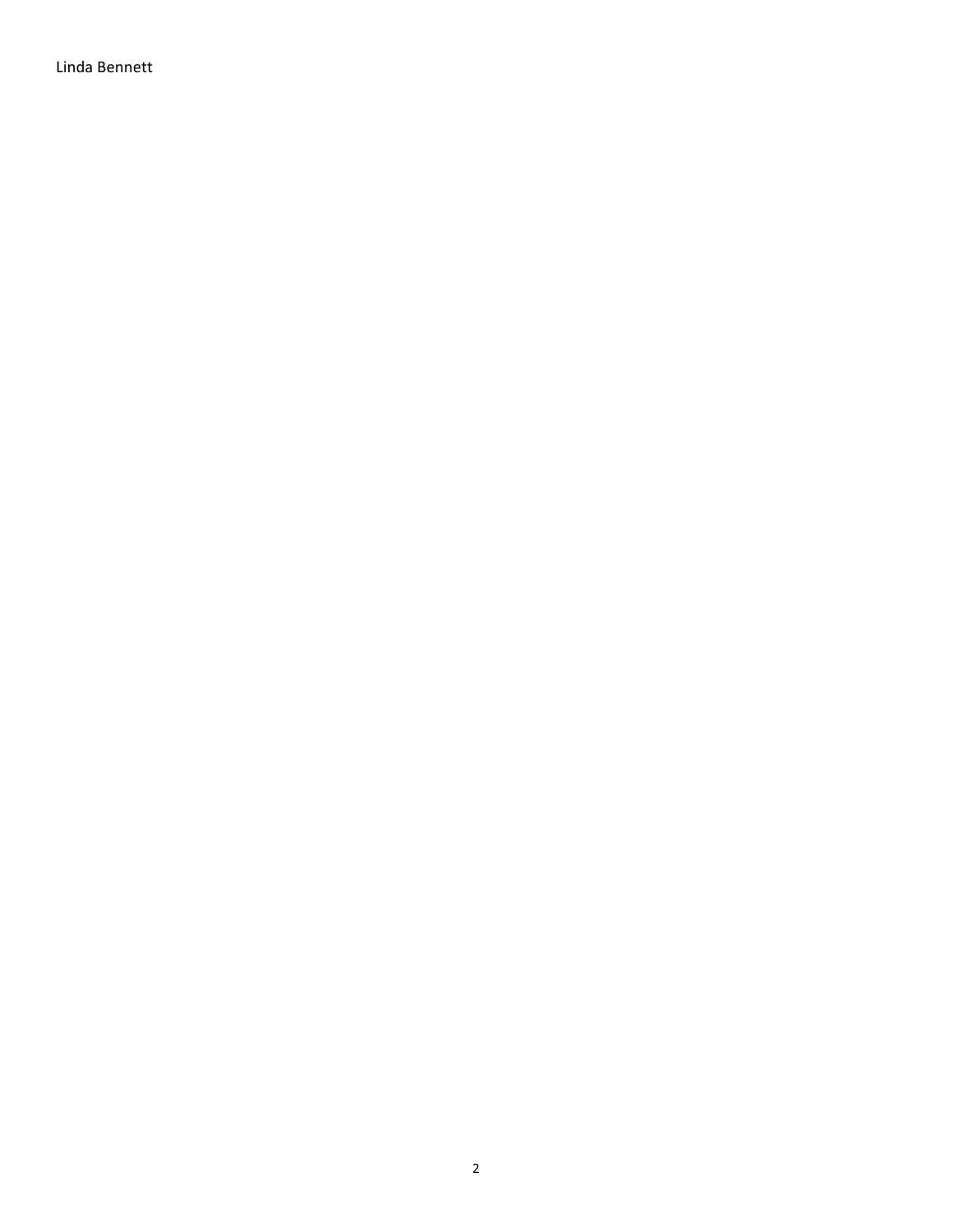Linda Bennett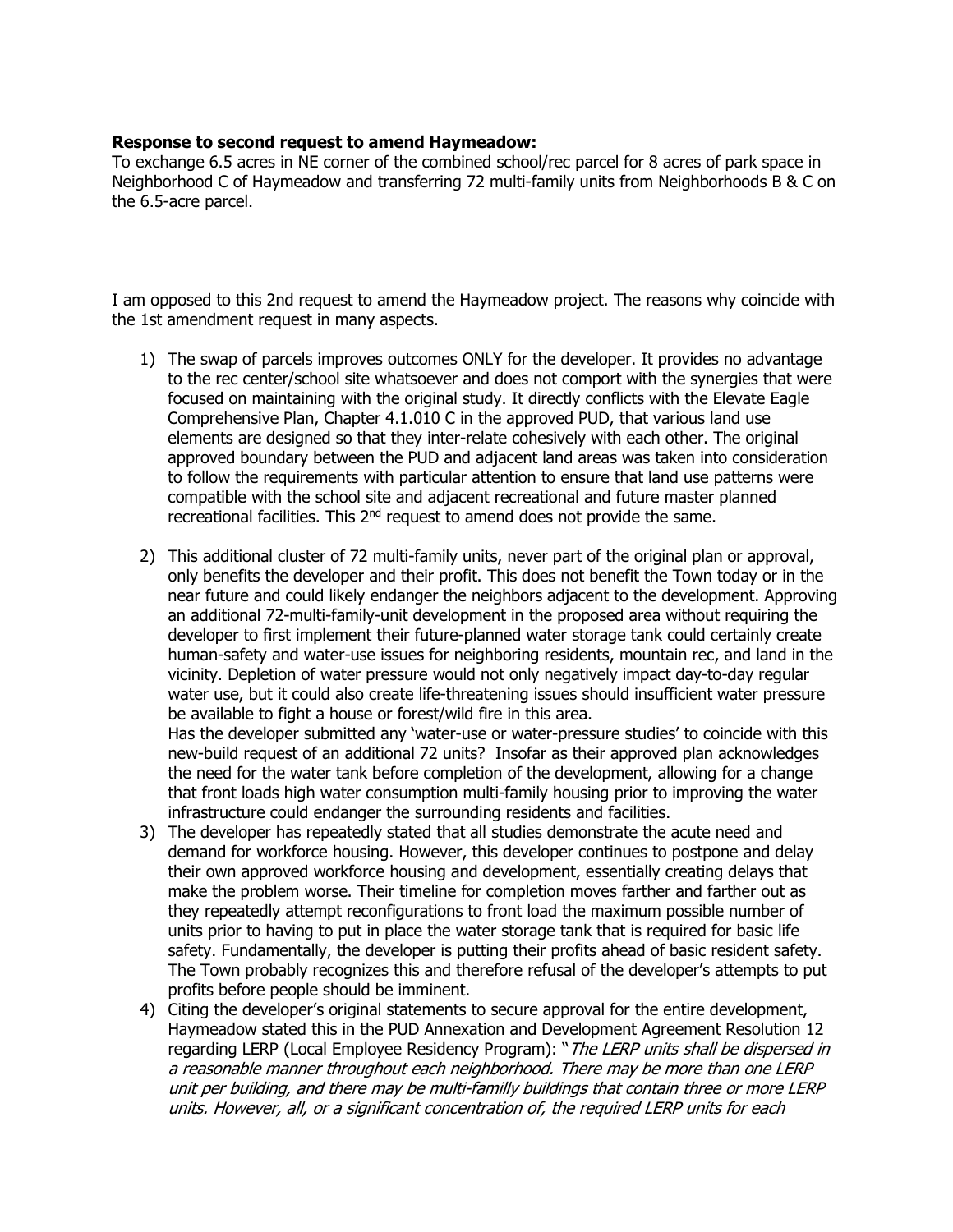#### **Response to second request to amend Haymeadow:**

To exchange 6.5 acres in NE corner of the combined school/rec parcel for 8 acres of park space in Neighborhood C of Haymeadow and transferring 72 multi-family units from Neighborhoods B & C on the 6.5-acre parcel.

I am opposed to this 2nd request to amend the Haymeadow project. The reasons why coincide with the 1st amendment request in many aspects.

- 1) The swap of parcels improves outcomes ONLY for the developer. It provides no advantage to the rec center/school site whatsoever and does not comport with the synergies that were focused on maintaining with the original study. It directly conflicts with the Elevate Eagle Comprehensive Plan, Chapter 4.1.010 C in the approved PUD, that various land use elements are designed so that they inter-relate cohesively with each other. The original approved boundary between the PUD and adjacent land areas was taken into consideration to follow the requirements with particular attention to ensure that land use patterns were compatible with the school site and adjacent recreational and future master planned recreational facilities. This 2<sup>nd</sup> request to amend does not provide the same.
- 2) This additional cluster of 72 multi-family units, never part of the original plan or approval, only benefits the developer and their profit. This does not benefit the Town today or in the near future and could likely endanger the neighbors adjacent to the development. Approving an additional 72-multi-family-unit development in the proposed area without requiring the developer to first implement their future-planned water storage tank could certainly create human-safety and water-use issues for neighboring residents, mountain rec, and land in the vicinity. Depletion of water pressure would not only negatively impact day-to-day regular water use, but it could also create life-threatening issues should insufficient water pressure be available to fight a house or forest/wild fire in this area. Has the developer submitted any 'water-use or water-pressure studies' to coincide with this

new-build request of an additional 72 units? Insofar as their approved plan acknowledges the need for the water tank before completion of the development, allowing for a change that front loads high water consumption multi-family housing prior to improving the water infrastructure could endanger the surrounding residents and facilities.

- 3) The developer has repeatedly stated that all studies demonstrate the acute need and demand for workforce housing. However, this developer continues to postpone and delay their own approved workforce housing and development, essentially creating delays that make the problem worse. Their timeline for completion moves farther and farther out as they repeatedly attempt reconfigurations to front load the maximum possible number of units prior to having to put in place the water storage tank that is required for basic life safety. Fundamentally, the developer is putting their profits ahead of basic resident safety. The Town probably recognizes this and therefore refusal of the developer's attempts to put profits before people should be imminent.
- 4) Citing the developer's original statements to secure approval for the entire development, Haymeadow stated this in the PUD Annexation and Development Agreement Resolution 12 regarding LERP (Local Employee Residency Program): "The LERP units shall be dispersed in a reasonable manner throughout each neighborhood. There may be more than one LERP unit per building, and there may be multi-familly buildings that contain three or more LERP units. However, all, or a significant concentration of, the required LERP units for each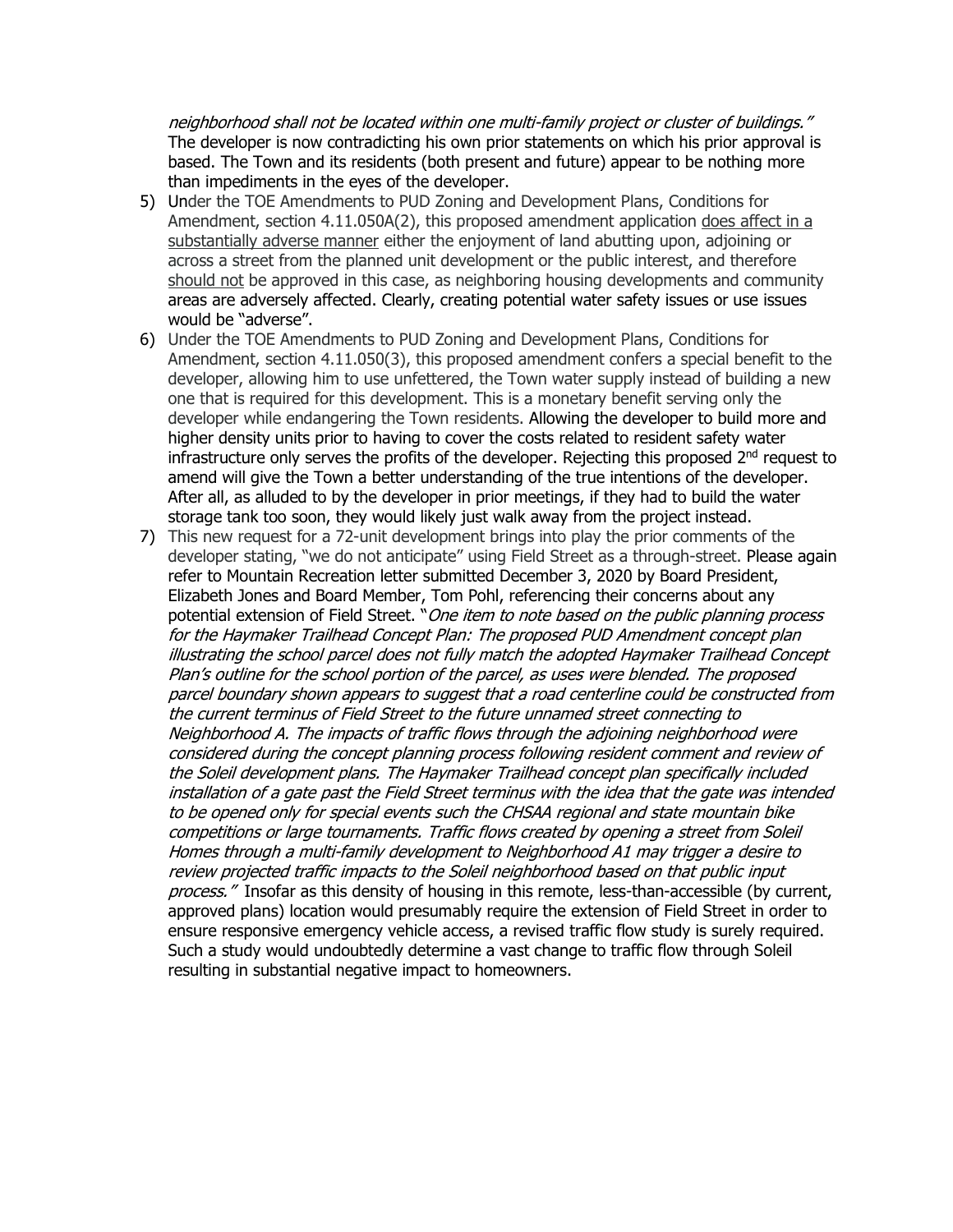neighborhood shall not be located within one multi-family project or cluster of buildings." The developer is now contradicting his own prior statements on which his prior approval is based. The Town and its residents (both present and future) appear to be nothing more than impediments in the eyes of the developer.

- 5) Under the TOE Amendments to PUD Zoning and Development Plans, Conditions for Amendment, section  $4.11.050A(2)$ , this proposed amendment application does affect in a substantially adverse manner either the enjoyment of land abutting upon, adjoining or across a street from the planned unit development or the public interest, and therefore should not be approved in this case, as neighboring housing developments and community areas are adversely affected. Clearly, creating potential water safety issues or use issues would be "adverse".
- 6) Under the TOE Amendments to PUD Zoning and Development Plans, Conditions for Amendment, section 4.11.050(3), this proposed amendment confers a special benefit to the developer, allowing him to use unfettered, the Town water supply instead of building a new one that is required for this development. This is a monetary benefit serving only the developer while endangering the Town residents. Allowing the developer to build more and higher density units prior to having to cover the costs related to resident safety water infrastructure only serves the profits of the developer. Rejecting this proposed  $2<sup>nd</sup>$  request to amend will give the Town a better understanding of the true intentions of the developer. After all, as alluded to by the developer in prior meetings, if they had to build the water storage tank too soon, they would likely just walk away from the project instead.
- 7) This new request for a 72-unit development brings into play the prior comments of the developer stating, "we do not anticipate" using Field Street as a through-street. Please again refer to Mountain Recreation letter submitted December 3, 2020 by Board President, Elizabeth Jones and Board Member, Tom Pohl, referencing their concerns about any potential extension of Field Street. "One item to note based on the public planning process for the Haymaker Trailhead Concept Plan: The proposed PUD Amendment concept plan illustrating the school parcel does not fully match the adopted Haymaker Trailhead Concept Plan's outline for the school portion of the parcel, as uses were blended. The proposed parcel boundary shown appears to suggest that a road centerline could be constructed from the current terminus of Field Street to the future unnamed street connecting to Neighborhood A. The impacts of traffic flows through the adjoining neighborhood were considered during the concept planning process following resident comment and review of the Soleil development plans. The Haymaker Trailhead concept plan specifically included installation of a gate past the Field Street terminus with the idea that the gate was intended to be opened only for special events such the CHSAA regional and state mountain bike competitions or large tournaments. Traffic flows created by opening a street from Soleil Homes through a multi-family development to Neighborhood A1 may trigger a desire to review projected traffic impacts to the Soleil neighborhood based on that public input process." Insofar as this density of housing in this remote, less-than-accessible (by current, approved plans) location would presumably require the extension of Field Street in order to ensure responsive emergency vehicle access, a revised traffic flow study is surely required. Such a study would undoubtedly determine a vast change to traffic flow through Soleil resulting in substantial negative impact to homeowners.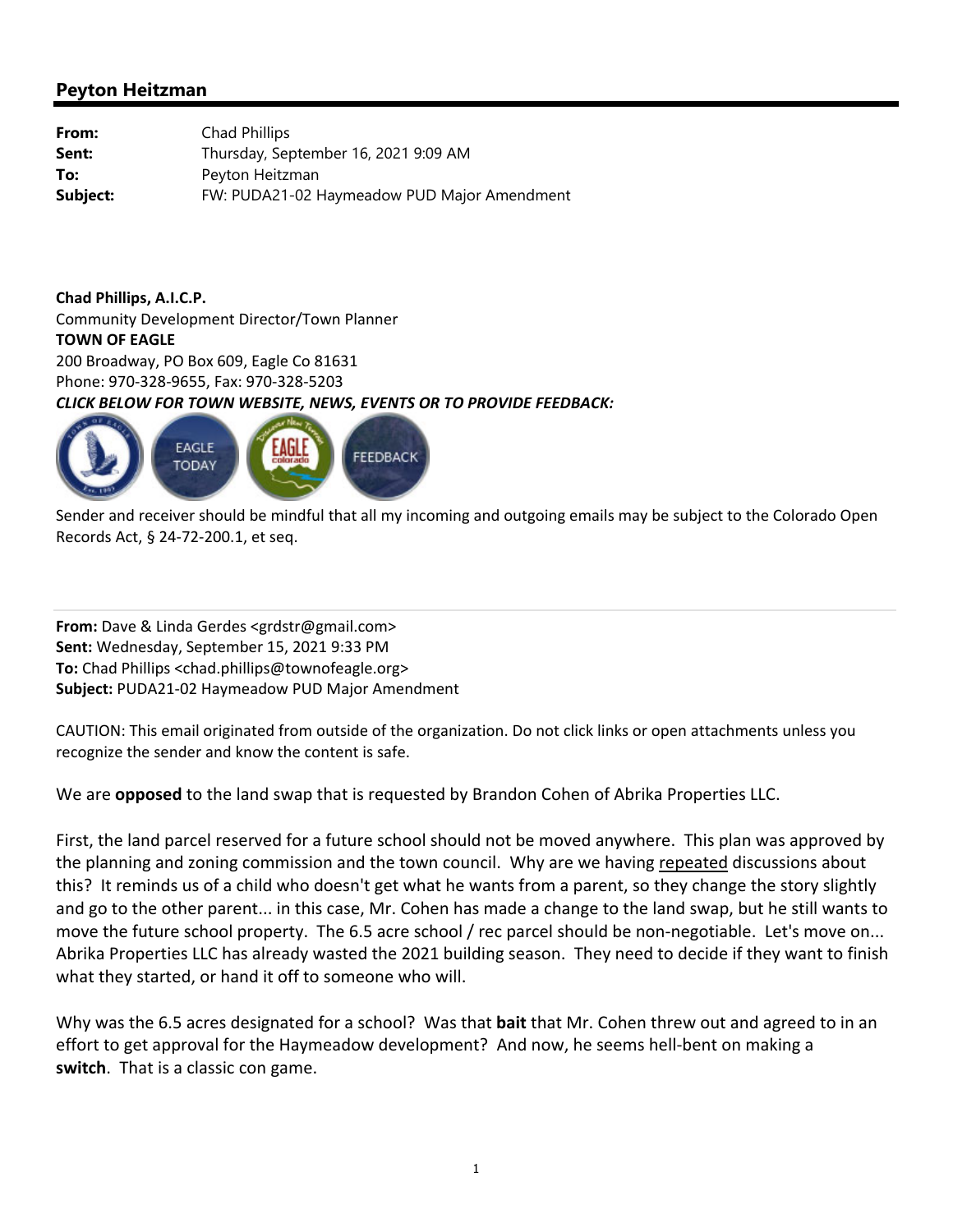| From:    | Chad Phillips                               |
|----------|---------------------------------------------|
| Sent:    | Thursday, September 16, 2021 9:09 AM        |
| To:      | Peyton Heitzman                             |
| Subject: | FW: PUDA21-02 Haymeadow PUD Major Amendment |

**Chad Phillips, A.I.C.P.** Community Development Director/Town Planner **TOWN OF EAGLE** 200 Broadway, PO Box 609, Eagle Co 81631 Phone: 970‐328‐9655, Fax: 970‐328‐5203 *CLICK BELOW FOR TOWN WEBSITE, NEWS, EVENTS OR TO PROVIDE FEEDBACK:*



Sender and receiver should be mindful that all my incoming and outgoing emails may be subject to the Colorado Open Records Act, § 24‐72‐200.1, et seq.

**From:** Dave & Linda Gerdes <grdstr@gmail.com> **Sent:** Wednesday, September 15, 2021 9:33 PM **To:** Chad Phillips <chad.phillips@townofeagle.org> **Subject:** PUDA21‐02 Haymeadow PUD Major Amendment

CAUTION: This email originated from outside of the organization. Do not click links or open attachments unless you recognize the sender and know the content is safe.

We are **opposed** to the land swap that is requested by Brandon Cohen of Abrika Properties LLC.

First, the land parcel reserved for a future school should not be moved anywhere. This plan was approved by the planning and zoning commission and the town council. Why are we having repeated discussions about this? It reminds us of a child who doesn't get what he wants from a parent, so they change the story slightly and go to the other parent... in this case, Mr. Cohen has made a change to the land swap, but he still wants to move the future school property. The 6.5 acre school / rec parcel should be non-negotiable. Let's move on... Abrika Properties LLC has already wasted the 2021 building season. They need to decide if they want to finish what they started, or hand it off to someone who will.

Why was the 6.5 acres designated for a school? Was that **bait** that Mr. Cohen threw out and agreed to in an effort to get approval for the Haymeadow development? And now, he seems hell‐bent on making a **switch**. That is a classic con game.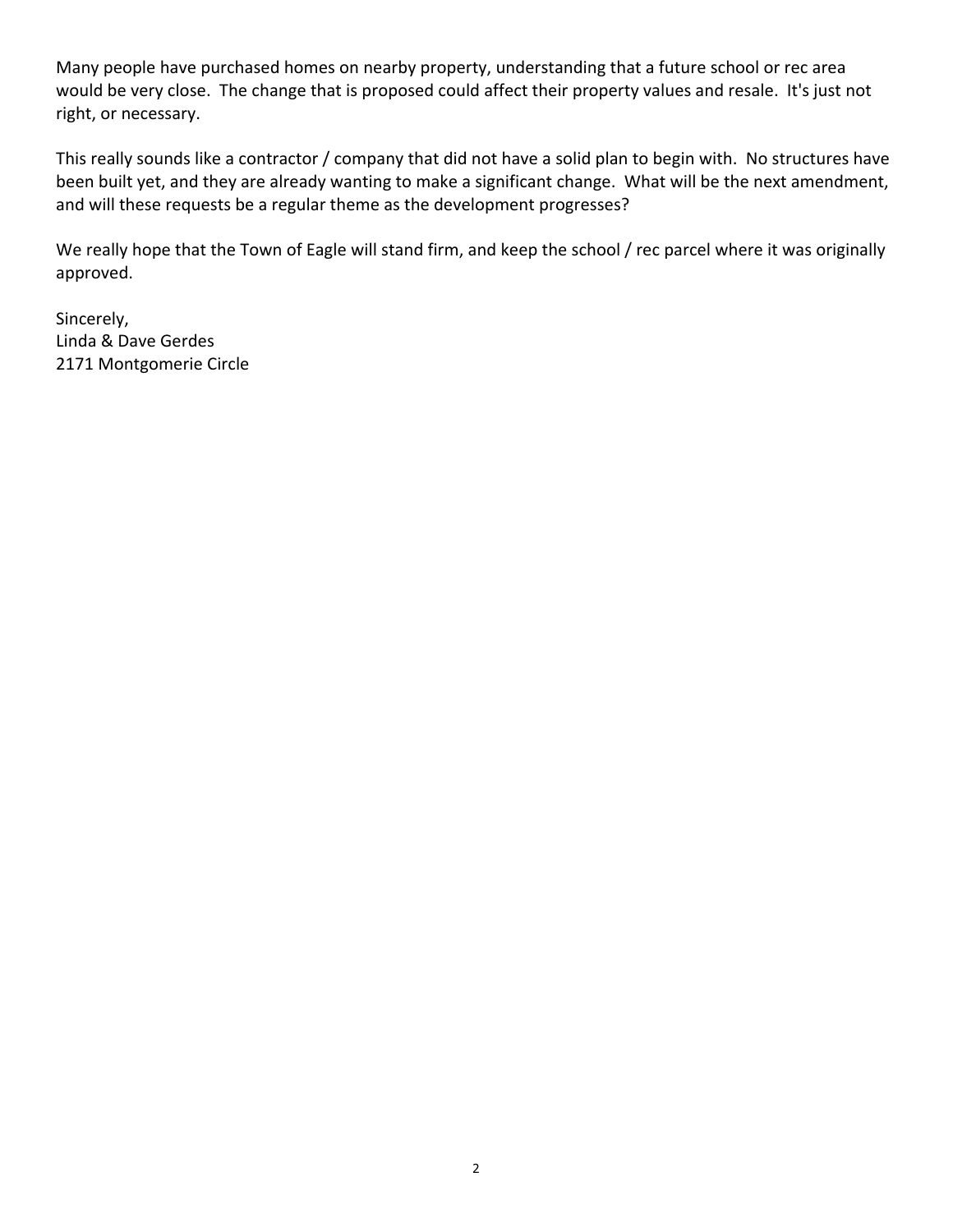Many people have purchased homes on nearby property, understanding that a future school or rec area would be very close. The change that is proposed could affect their property values and resale. It's just not right, or necessary.

This really sounds like a contractor / company that did not have a solid plan to begin with. No structures have been built yet, and they are already wanting to make a significant change. What will be the next amendment, and will these requests be a regular theme as the development progresses?

We really hope that the Town of Eagle will stand firm, and keep the school / rec parcel where it was originally approved.

Sincerely, Linda & Dave Gerdes 2171 Montgomerie Circle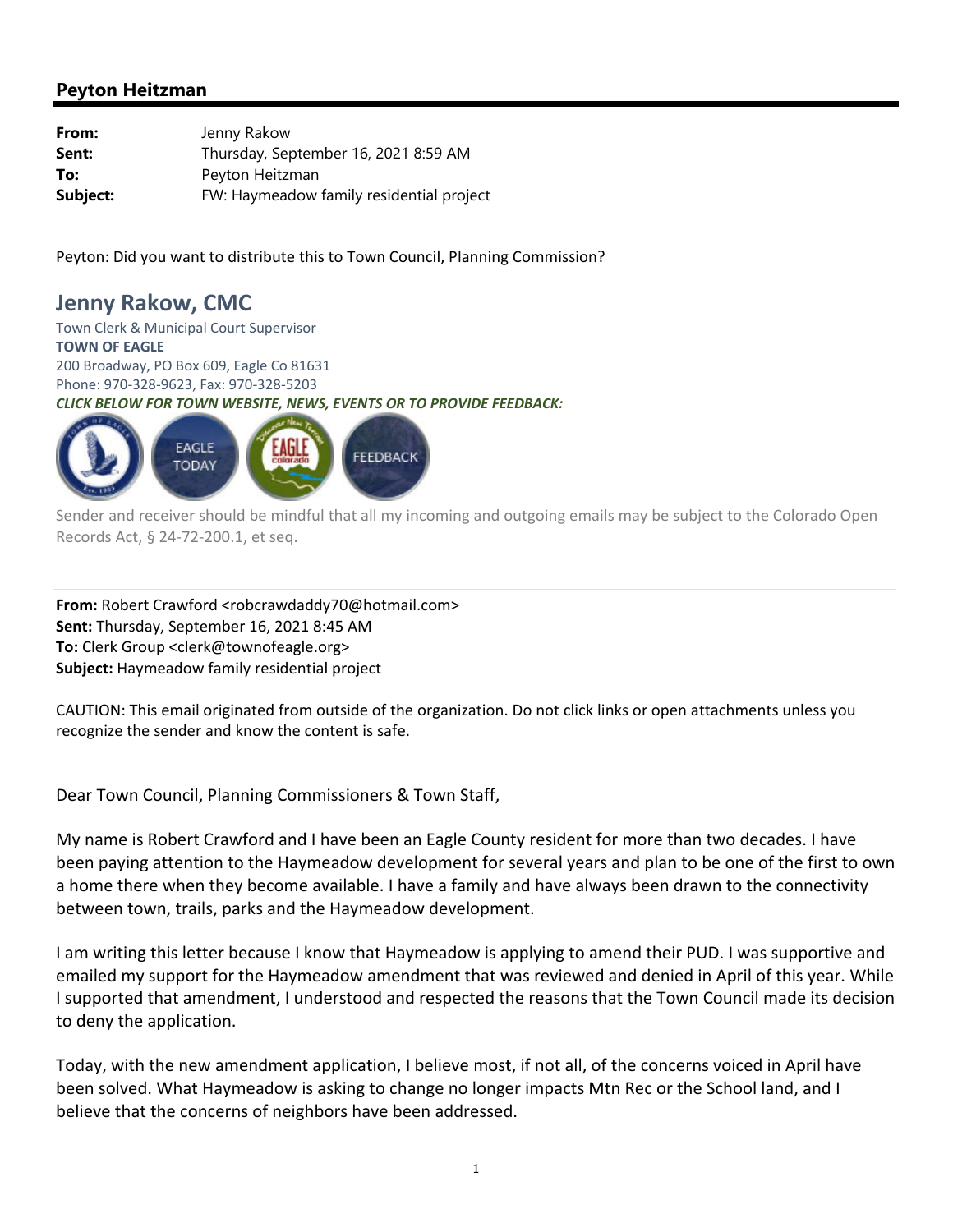| From:    | Jenny Rakow                              |
|----------|------------------------------------------|
| Sent:    | Thursday, September 16, 2021 8:59 AM     |
| To:      | Peyton Heitzman                          |
| Subject: | FW: Haymeadow family residential project |

Peyton: Did you want to distribute this to Town Council, Planning Commission?

# **Jenny Rakow, CMC**

Town Clerk & Municipal Court Supervisor **TOWN OF EAGLE** 200 Broadway, PO Box 609, Eagle Co 81631 Phone: 970‐328‐9623, Fax: 970‐328‐5203 *CLICK BELOW FOR TOWN WEBSITE, NEWS, EVENTS OR TO PROVIDE FEEDBACK:*



Sender and receiver should be mindful that all my incoming and outgoing emails may be subject to the Colorado Open Records Act, § 24‐72‐200.1, et seq.

From: Robert Crawford <robcrawdaddy70@hotmail.com> **Sent:** Thursday, September 16, 2021 8:45 AM **To:** Clerk Group <clerk@townofeagle.org> **Subject:** Haymeadow family residential project

CAUTION: This email originated from outside of the organization. Do not click links or open attachments unless you recognize the sender and know the content is safe.

Dear Town Council, Planning Commissioners & Town Staff,

My name is Robert Crawford and I have been an Eagle County resident for more than two decades. I have been paying attention to the Haymeadow development for several years and plan to be one of the first to own a home there when they become available. I have a family and have always been drawn to the connectivity between town, trails, parks and the Haymeadow development.

I am writing this letter because I know that Haymeadow is applying to amend their PUD. I was supportive and emailed my support for the Haymeadow amendment that was reviewed and denied in April of this year. While I supported that amendment, I understood and respected the reasons that the Town Council made its decision to deny the application.

Today, with the new amendment application, I believe most, if not all, of the concerns voiced in April have been solved. What Haymeadow is asking to change no longer impacts Mtn Rec or the School land, and I believe that the concerns of neighbors have been addressed.